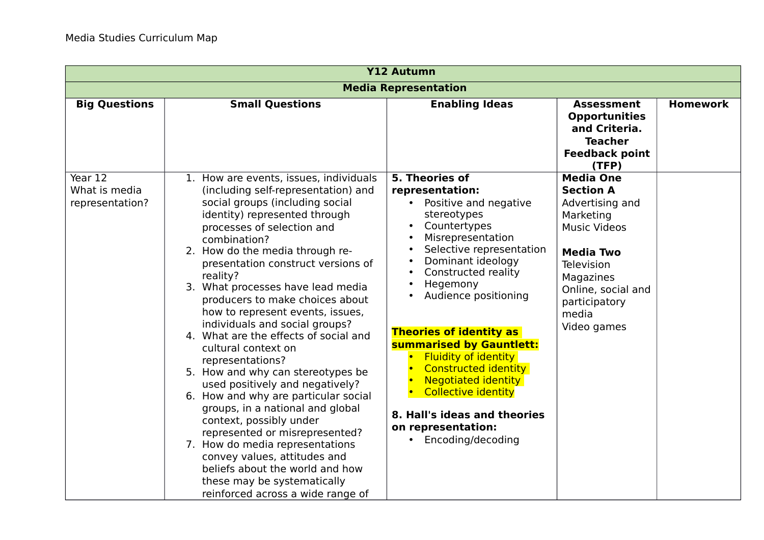| <b>Y12 Autumn</b>                           |                                                                                                                                                                                                                                                                                                                                                                                                                                                                                                                                                                                                                                                                                                                                                                                                                                                                                                                   |                                                                                                                                                                                                                                                                                                                                                                                                                                                                                                              |                                                                                                                                                                                                                  |                 |  |
|---------------------------------------------|-------------------------------------------------------------------------------------------------------------------------------------------------------------------------------------------------------------------------------------------------------------------------------------------------------------------------------------------------------------------------------------------------------------------------------------------------------------------------------------------------------------------------------------------------------------------------------------------------------------------------------------------------------------------------------------------------------------------------------------------------------------------------------------------------------------------------------------------------------------------------------------------------------------------|--------------------------------------------------------------------------------------------------------------------------------------------------------------------------------------------------------------------------------------------------------------------------------------------------------------------------------------------------------------------------------------------------------------------------------------------------------------------------------------------------------------|------------------------------------------------------------------------------------------------------------------------------------------------------------------------------------------------------------------|-----------------|--|
| <b>Media Representation</b>                 |                                                                                                                                                                                                                                                                                                                                                                                                                                                                                                                                                                                                                                                                                                                                                                                                                                                                                                                   |                                                                                                                                                                                                                                                                                                                                                                                                                                                                                                              |                                                                                                                                                                                                                  |                 |  |
| <b>Big Questions</b>                        | <b>Small Questions</b>                                                                                                                                                                                                                                                                                                                                                                                                                                                                                                                                                                                                                                                                                                                                                                                                                                                                                            | <b>Enabling Ideas</b>                                                                                                                                                                                                                                                                                                                                                                                                                                                                                        | <b>Assessment</b><br><b>Opportunities</b><br>and Criteria.<br><b>Teacher</b><br><b>Feedback point</b><br>(TFP)                                                                                                   | <b>Homework</b> |  |
| Year 12<br>What is media<br>representation? | 1. How are events, issues, individuals<br>(including self-representation) and<br>social groups (including social<br>identity) represented through<br>processes of selection and<br>combination?<br>2. How do the media through re-<br>presentation construct versions of<br>reality?<br>3. What processes have lead media<br>producers to make choices about<br>how to represent events, issues,<br>individuals and social groups?<br>4. What are the effects of social and<br>cultural context on<br>representations?<br>5. How and why can stereotypes be<br>used positively and negatively?<br>6. How and why are particular social<br>groups, in a national and global<br>context, possibly under<br>represented or misrepresented?<br>7. How do media representations<br>convey values, attitudes and<br>beliefs about the world and how<br>these may be systematically<br>reinforced across a wide range of | 5. Theories of<br>representation:<br>• Positive and negative<br>stereotypes<br>Countertypes<br>Misrepresentation<br>Selective representation<br>Dominant ideology<br>Constructed reality<br>Hegemony<br>Audience positioning<br><b>Theories of identity as</b><br>summarised by Gauntlett:<br><b>Fluidity of identity</b><br><b>Constructed identity</b><br><b>Negotiated identity</b><br><b>Collective identity</b><br>8. Hall's ideas and theories<br>on representation:<br>Encoding/decoding<br>$\bullet$ | <b>Media One</b><br><b>Section A</b><br>Advertising and<br>Marketing<br><b>Music Videos</b><br><b>Media Two</b><br><b>Television</b><br>Magazines<br>Online, social and<br>participatory<br>media<br>Video games |                 |  |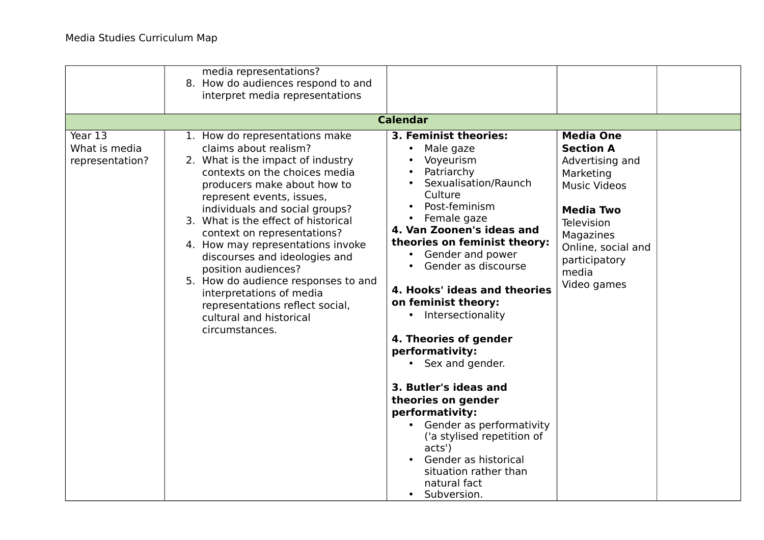|                                             | media representations?<br>8. How do audiences respond to and<br>interpret media representations                                                                                                                                                                                                                                                                                                                                                                                                                                                   |                                                                                                                                                                                                                                                                                                                                                                                                                                                                                                                                                                                                                                           |                                                                                                                                                                                                           |  |
|---------------------------------------------|---------------------------------------------------------------------------------------------------------------------------------------------------------------------------------------------------------------------------------------------------------------------------------------------------------------------------------------------------------------------------------------------------------------------------------------------------------------------------------------------------------------------------------------------------|-------------------------------------------------------------------------------------------------------------------------------------------------------------------------------------------------------------------------------------------------------------------------------------------------------------------------------------------------------------------------------------------------------------------------------------------------------------------------------------------------------------------------------------------------------------------------------------------------------------------------------------------|-----------------------------------------------------------------------------------------------------------------------------------------------------------------------------------------------------------|--|
|                                             |                                                                                                                                                                                                                                                                                                                                                                                                                                                                                                                                                   | <b>Calendar</b>                                                                                                                                                                                                                                                                                                                                                                                                                                                                                                                                                                                                                           |                                                                                                                                                                                                           |  |
| Year 13<br>What is media<br>representation? | 1. How do representations make<br>claims about realism?<br>2. What is the impact of industry<br>contexts on the choices media<br>producers make about how to<br>represent events, issues,<br>individuals and social groups?<br>3. What is the effect of historical<br>context on representations?<br>4. How may representations invoke<br>discourses and ideologies and<br>position audiences?<br>5. How do audience responses to and<br>interpretations of media<br>representations reflect social,<br>cultural and historical<br>circumstances. | 3. Feminist theories:<br>Male gaze<br>Voyeurism<br>Patriarchy<br>Sexualisation/Raunch<br>Culture<br>Post-feminism<br>Female gaze<br>$\bullet$<br>4. Van Zoonen's ideas and<br>theories on feminist theory:<br>• Gender and power<br>Gender as discourse<br>4. Hooks' ideas and theories<br>on feminist theory:<br>• Intersectionality<br>4. Theories of gender<br>performativity:<br>• Sex and gender.<br>3. Butler's ideas and<br>theories on gender<br>performativity:<br>Gender as performativity<br>$\bullet$<br>('a stylised repetition of<br>acts')<br>Gender as historical<br>situation rather than<br>natural fact<br>Subversion. | <b>Media One</b><br><b>Section A</b><br>Advertising and<br>Marketing<br><b>Music Videos</b><br><b>Media Two</b><br>Television<br>Magazines<br>Online, social and<br>participatory<br>media<br>Video games |  |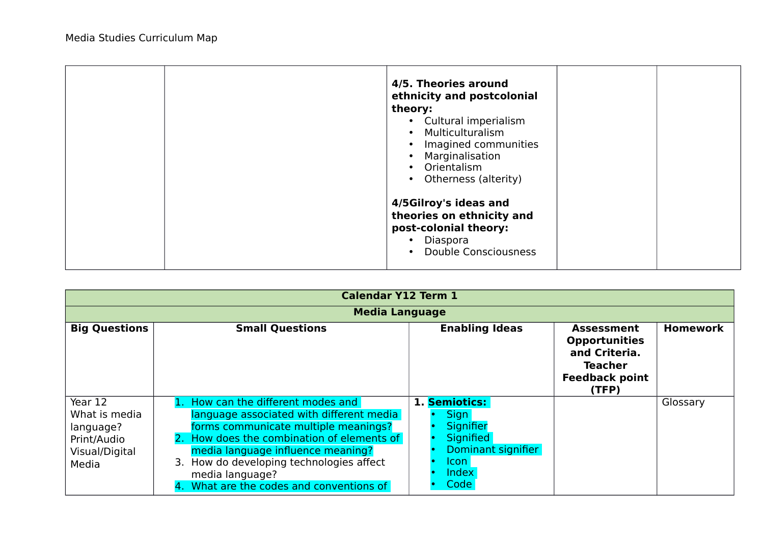|  | 4/5. Theories around<br>ethnicity and postcolonial<br>theory:<br>• Cultural imperialism<br>• Multiculturalism<br>Imagined communities<br>Marginalisation<br>Orientalism<br>Otherness (alterity) |  |
|--|-------------------------------------------------------------------------------------------------------------------------------------------------------------------------------------------------|--|
|  | 4/5Gilroy's ideas and<br>theories on ethnicity and<br>post-colonial theory:<br>• Diaspora<br><b>Double Consciousness</b>                                                                        |  |

| <b>Calendar Y12 Term 1</b>                                                      |                                                                                                                                                                                                                                                                                                                |                                                                                                         |                                                                                                                |                 |  |  |
|---------------------------------------------------------------------------------|----------------------------------------------------------------------------------------------------------------------------------------------------------------------------------------------------------------------------------------------------------------------------------------------------------------|---------------------------------------------------------------------------------------------------------|----------------------------------------------------------------------------------------------------------------|-----------------|--|--|
|                                                                                 | <b>Media Language</b>                                                                                                                                                                                                                                                                                          |                                                                                                         |                                                                                                                |                 |  |  |
| <b>Big Questions</b>                                                            | <b>Small Questions</b>                                                                                                                                                                                                                                                                                         | <b>Enabling Ideas</b>                                                                                   | <b>Assessment</b><br><b>Opportunities</b><br>and Criteria.<br><b>Teacher</b><br><b>Feedback point</b><br>(TFP) | <b>Homework</b> |  |  |
| Year 12<br>What is media<br>language?<br>Print/Audio<br>Visual/Digital<br>Media | How can the different modes and<br>language associated with different media<br>forms communicate multiple meanings?<br>How does the combination of elements of<br>media language influence meaning?<br>3. How do developing technologies affect<br>media language?<br>4. What are the codes and conventions of | 1. Semiotics:<br><b>Sign</b><br>Signifier<br>Signified<br>Dominant signifier<br>lcon l<br>Index<br>Code |                                                                                                                | Glossary        |  |  |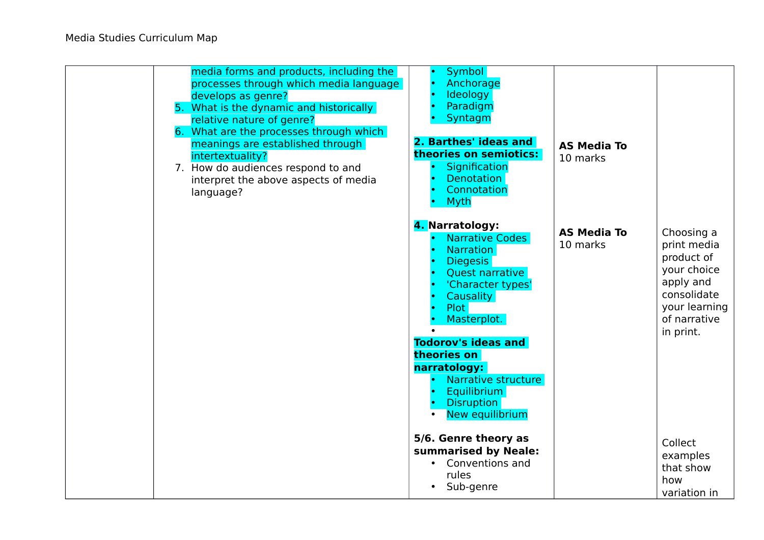| media forms and products, including the<br>processes through which media language<br>develops as genre?<br>5. What is the dynamic and historically<br>relative nature of genre?<br>6. What are the processes through which<br>meanings are established through<br>intertextuality?<br>7. How do audiences respond to and<br>interpret the above aspects of media<br>language? | <b>Symbol</b><br>Anchorage<br>Ideology<br>Paradigm<br>Syntagm<br>2. Barthes' ideas and<br>theories on semiotics:<br>Signification<br><b>Denotation</b><br>Connotation<br><b>Myth</b>                                                                                                                                         | <b>AS Media To</b><br>10 marks |                                                                                                                                  |
|-------------------------------------------------------------------------------------------------------------------------------------------------------------------------------------------------------------------------------------------------------------------------------------------------------------------------------------------------------------------------------|------------------------------------------------------------------------------------------------------------------------------------------------------------------------------------------------------------------------------------------------------------------------------------------------------------------------------|--------------------------------|----------------------------------------------------------------------------------------------------------------------------------|
|                                                                                                                                                                                                                                                                                                                                                                               | 4. Narratology:<br>Narrative Codes<br><b>Narration</b><br><b>Diegesis</b><br><b>Quest narrative</b><br>'Character types'<br><b>Causality</b><br><b>Plot</b><br>Masterplot.<br><b>Todorov's ideas and</b><br>theories on<br>narratology:<br>Narrative structure<br><b>Equilibrium</b><br><b>Disruption</b><br>New equilibrium | <b>AS Media To</b><br>10 marks | Choosing a<br>print media<br>product of<br>your choice<br>apply and<br>consolidate<br>your learning<br>of narrative<br>in print. |
|                                                                                                                                                                                                                                                                                                                                                                               | 5/6. Genre theory as<br>summarised by Neale:<br>• Conventions and<br>rules<br>Sub-genre                                                                                                                                                                                                                                      |                                | Collect<br>examples<br>that show<br>how<br>variation in                                                                          |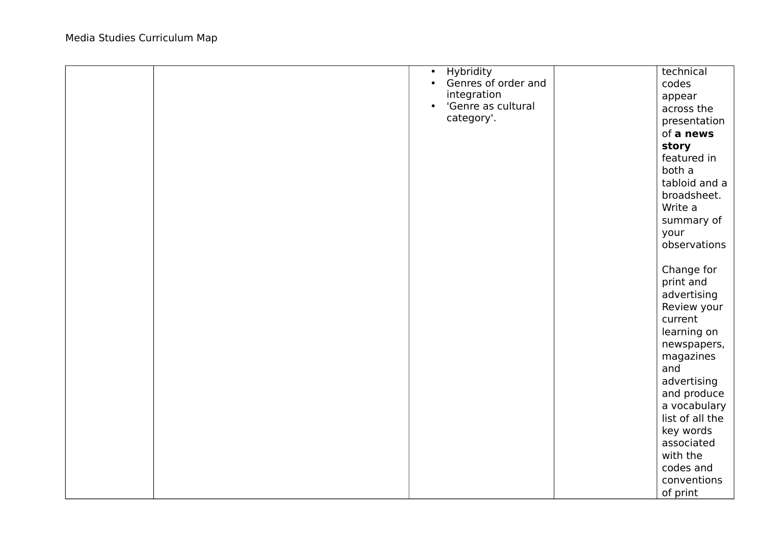|  | <b>Hybridity</b><br>$\bullet$    | technical       |
|--|----------------------------------|-----------------|
|  | Genres of order and<br>$\bullet$ | codes           |
|  | integration                      | appear          |
|  | 'Genre as cultural<br>$\bullet$  | across the      |
|  | category'.                       | presentation    |
|  |                                  | of a news       |
|  |                                  | story           |
|  |                                  | featured in     |
|  |                                  | both a          |
|  |                                  | tabloid and a   |
|  |                                  | broadsheet.     |
|  |                                  | Write a         |
|  |                                  | summary of      |
|  |                                  | your            |
|  |                                  | observations    |
|  |                                  |                 |
|  |                                  | Change for      |
|  |                                  | print and       |
|  |                                  | advertising     |
|  |                                  | Review your     |
|  |                                  | current         |
|  |                                  | learning on     |
|  |                                  | newspapers,     |
|  |                                  | magazines       |
|  |                                  | and             |
|  |                                  | advertising     |
|  |                                  | and produce     |
|  |                                  | a vocabulary    |
|  |                                  | list of all the |
|  |                                  | key words       |
|  |                                  | associated      |
|  |                                  | with the        |
|  |                                  | codes and       |
|  |                                  | conventions     |
|  |                                  | of print        |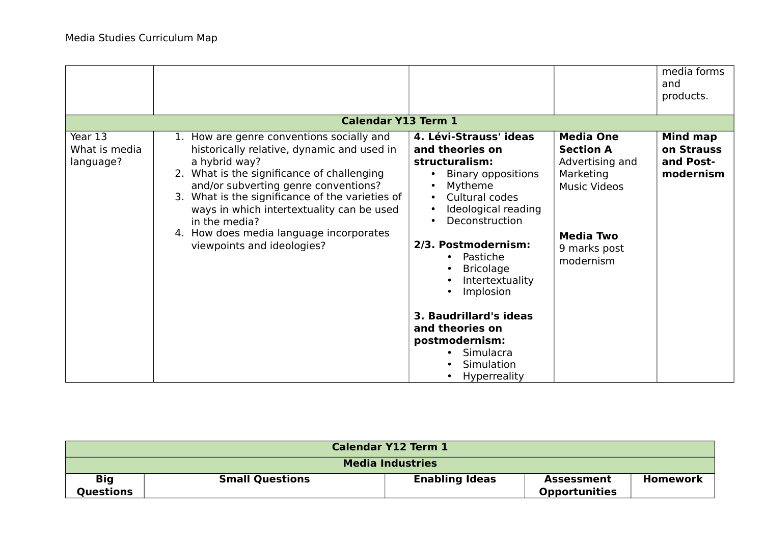|                                       |                                                                                                                                                                                                                                                                                                                                                                                          |                                                                                                                                                                                                                                                                                                                                                                              |                                                                                                                                              | media forms<br>and<br>products.                  |
|---------------------------------------|------------------------------------------------------------------------------------------------------------------------------------------------------------------------------------------------------------------------------------------------------------------------------------------------------------------------------------------------------------------------------------------|------------------------------------------------------------------------------------------------------------------------------------------------------------------------------------------------------------------------------------------------------------------------------------------------------------------------------------------------------------------------------|----------------------------------------------------------------------------------------------------------------------------------------------|--------------------------------------------------|
|                                       | <b>Calendar Y13 Term 1</b>                                                                                                                                                                                                                                                                                                                                                               |                                                                                                                                                                                                                                                                                                                                                                              |                                                                                                                                              |                                                  |
| Year 13<br>What is media<br>language? | 1. How are genre conventions socially and<br>historically relative, dynamic and used in<br>a hybrid way?<br>2. What is the significance of challenging<br>and/or subverting genre conventions?<br>3. What is the significance of the varieties of<br>ways in which intertextuality can be used<br>in the media?<br>4. How does media language incorporates<br>viewpoints and ideologies? | 4. Lévi-Strauss' ideas<br>and theories on<br>structuralism:<br><b>Binary oppositions</b><br>Mytheme<br>Cultural codes<br>Ideological reading<br>Deconstruction<br>2/3. Postmodernism:<br>Pastiche<br>$\bullet$<br><b>Bricolage</b><br>Intertextuality<br>Implosion<br>3. Baudrillard's ideas<br>and theories on<br>postmodernism:<br>Simulacra<br>Simulation<br>Hyperreality | <b>Media One</b><br><b>Section A</b><br>Advertising and<br>Marketing<br><b>Music Videos</b><br><b>Media Two</b><br>9 marks post<br>modernism | Mind map<br>on Strauss<br>and Post-<br>modernism |

| <b>Calendar Y12 Term 1</b> |                        |                       |                                    |                 |
|----------------------------|------------------------|-----------------------|------------------------------------|-----------------|
| <b>Media Industries</b>    |                        |                       |                                    |                 |
| <b>Big</b><br>Questions    | <b>Small Questions</b> | <b>Enabling Ideas</b> | Assessment<br><b>Opportunities</b> | <b>Homework</b> |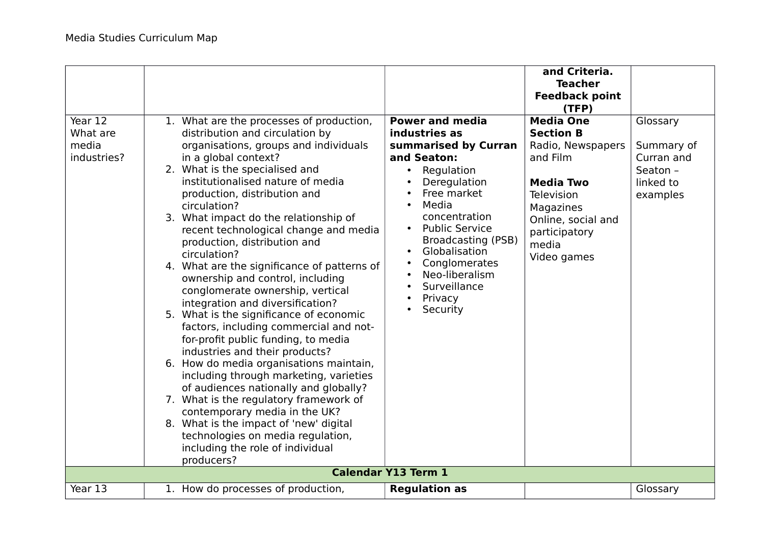| Year 12<br>What are<br>media<br>industries? | 1. What are the processes of production,<br>distribution and circulation by<br>organisations, groups and individuals<br>in a global context?<br>2. What is the specialised and<br>institutionalised nature of media<br>production, distribution and<br>circulation?<br>3. What impact do the relationship of<br>recent technological change and media<br>production, distribution and<br>circulation?<br>4. What are the significance of patterns of<br>ownership and control, including<br>conglomerate ownership, vertical<br>integration and diversification?<br>5. What is the significance of economic<br>factors, including commercial and not-<br>for-profit public funding, to media<br>industries and their products? | <b>Power and media</b><br>industries as<br>summarised by Curran<br>and Seaton:<br>Regulation<br>$\bullet$<br>Deregulation<br>Free market<br>Media<br>$\bullet$<br>concentration<br><b>Public Service</b><br>$\bullet$<br><b>Broadcasting (PSB)</b><br>Globalisation<br>$\bullet$<br>Conglomerates<br>$\bullet$<br>Neo-liberalism<br>$\bullet$<br>Surveillance<br>Privacy<br>Security | and Criteria.<br><b>Teacher</b><br><b>Feedback point</b><br>(TFP)<br><b>Media One</b><br><b>Section B</b><br>Radio, Newspapers<br>and Film<br><b>Media Two</b><br>Television<br>Magazines<br>Online, social and<br>participatory<br>media<br>Video games | Glossary<br>Summary of<br>Curran and<br>Seaton -<br>linked to<br>examples |
|---------------------------------------------|--------------------------------------------------------------------------------------------------------------------------------------------------------------------------------------------------------------------------------------------------------------------------------------------------------------------------------------------------------------------------------------------------------------------------------------------------------------------------------------------------------------------------------------------------------------------------------------------------------------------------------------------------------------------------------------------------------------------------------|--------------------------------------------------------------------------------------------------------------------------------------------------------------------------------------------------------------------------------------------------------------------------------------------------------------------------------------------------------------------------------------|----------------------------------------------------------------------------------------------------------------------------------------------------------------------------------------------------------------------------------------------------------|---------------------------------------------------------------------------|
|                                             | 6. How do media organisations maintain,<br>including through marketing, varieties<br>of audiences nationally and globally?<br>7. What is the regulatory framework of<br>contemporary media in the UK?<br>8. What is the impact of 'new' digital<br>technologies on media regulation,<br>including the role of individual<br>producers?                                                                                                                                                                                                                                                                                                                                                                                         |                                                                                                                                                                                                                                                                                                                                                                                      |                                                                                                                                                                                                                                                          |                                                                           |
|                                             |                                                                                                                                                                                                                                                                                                                                                                                                                                                                                                                                                                                                                                                                                                                                | <b>Calendar Y13 Term 1</b>                                                                                                                                                                                                                                                                                                                                                           |                                                                                                                                                                                                                                                          |                                                                           |
| Year 13                                     | 1. How do processes of production,                                                                                                                                                                                                                                                                                                                                                                                                                                                                                                                                                                                                                                                                                             | <b>Regulation as</b>                                                                                                                                                                                                                                                                                                                                                                 |                                                                                                                                                                                                                                                          | Glossary                                                                  |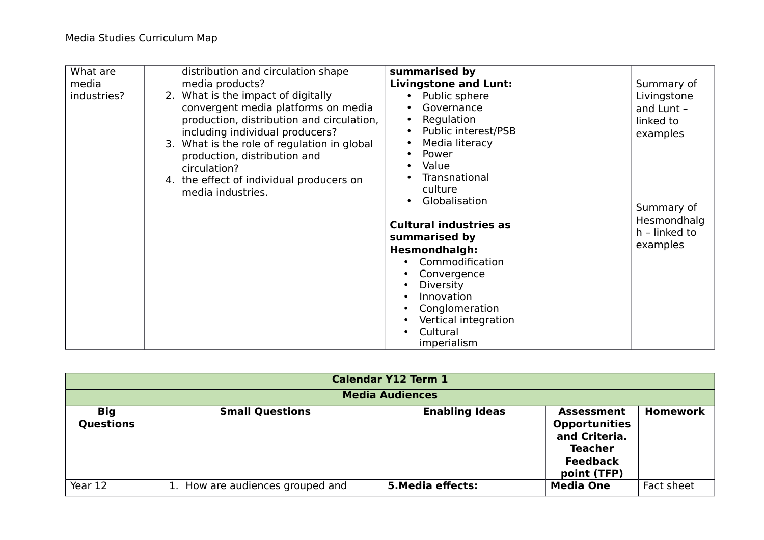| What are    | distribution and circulation shape          | summarised by                    |               |
|-------------|---------------------------------------------|----------------------------------|---------------|
| media       | media products?                             | <b>Livingstone and Lunt:</b>     | Summary of    |
| industries? | 2. What is the impact of digitally          | Public sphere<br>$\bullet$       | Livingstone   |
|             | convergent media platforms on media         | Governance<br>$\bullet$          | and Lunt -    |
|             | production, distribution and circulation,   | Regulation<br>$\bullet$          | linked to     |
|             | including individual producers?             | Public interest/PSB<br>$\bullet$ | examples      |
|             | 3. What is the role of regulation in global | Media literacy<br>$\bullet$      |               |
|             | production, distribution and                | Power<br>$\bullet$               |               |
|             | circulation?                                | Value<br>$\bullet$               |               |
|             | 4. the effect of individual producers on    | Transnational<br>culture         |               |
|             | media industries.                           | Globalisation<br>$\bullet$       |               |
|             |                                             |                                  | Summary of    |
|             |                                             | <b>Cultural industries as</b>    | Hesmondhalg   |
|             |                                             | summarised by                    | h - linked to |
|             |                                             | <b>Hesmondhalgh:</b>             | examples      |
|             |                                             | Commodification                  |               |
|             |                                             | Convergence                      |               |
|             |                                             | <b>Diversity</b>                 |               |
|             |                                             | Innovation                       |               |
|             |                                             | Conglomeration                   |               |
|             |                                             | Vertical integration             |               |
|             |                                             | Cultural                         |               |
|             |                                             | imperialism                      |               |

|                                | <b>Calendar Y12 Term 1</b>    |                        |                                                                                                                |                 |
|--------------------------------|-------------------------------|------------------------|----------------------------------------------------------------------------------------------------------------|-----------------|
|                                |                               | <b>Media Audiences</b> |                                                                                                                |                 |
| <b>Big</b><br><b>Questions</b> | <b>Small Questions</b>        | <b>Enabling Ideas</b>  | <b>Assessment</b><br><b>Opportunities</b><br>and Criteria.<br><b>Teacher</b><br><b>Feedback</b><br>point (TFP) | <b>Homework</b> |
| Year 12                        | How are audiences grouped and | 5. Media effects:      | <b>Media One</b>                                                                                               | Fact sheet      |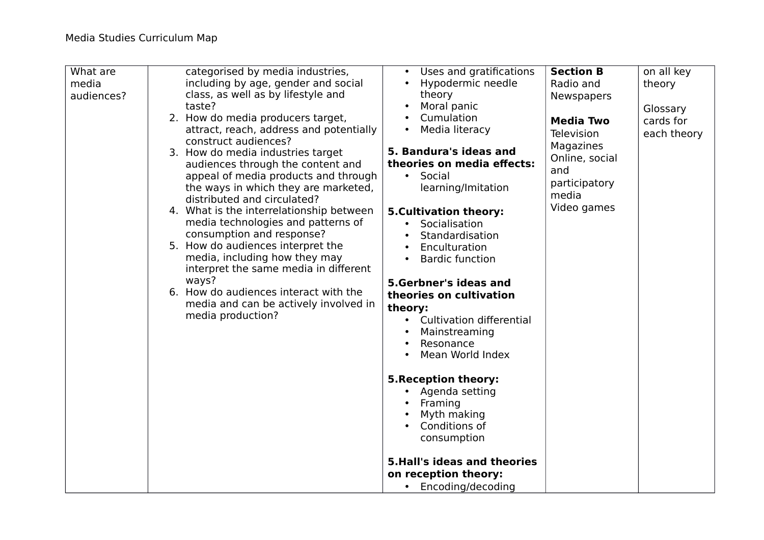| What are<br>media<br>audiences? | categorised by media industries,<br>including by age, gender and social<br>class, as well as by lifestyle and<br>taste?                                                                                                                                                                                                                                                                                                                                                                                                                                                                                                                     | Uses and gratifications<br>Hypodermic needle<br>theory<br>Moral panic                                                                                                                                                                                                                                                                                                                                                   | <b>Section B</b><br>Radio and<br><b>Newspapers</b>                                                            | on all key<br>theory<br>Glossary |
|---------------------------------|---------------------------------------------------------------------------------------------------------------------------------------------------------------------------------------------------------------------------------------------------------------------------------------------------------------------------------------------------------------------------------------------------------------------------------------------------------------------------------------------------------------------------------------------------------------------------------------------------------------------------------------------|-------------------------------------------------------------------------------------------------------------------------------------------------------------------------------------------------------------------------------------------------------------------------------------------------------------------------------------------------------------------------------------------------------------------------|---------------------------------------------------------------------------------------------------------------|----------------------------------|
|                                 | 2. How do media producers target,<br>attract, reach, address and potentially<br>construct audiences?<br>3. How do media industries target<br>audiences through the content and<br>appeal of media products and through<br>the ways in which they are marketed,<br>distributed and circulated?<br>4. What is the interrelationship between<br>media technologies and patterns of<br>consumption and response?<br>5. How do audiences interpret the<br>media, including how they may<br>interpret the same media in different<br>ways?<br>6. How do audiences interact with the<br>media and can be actively involved in<br>media production? | Cumulation<br>Media literacy<br>$\bullet$<br>5. Bandura's ideas and<br>theories on media effects:<br>Social<br>$\bullet$<br>learning/Imitation<br><b>5.Cultivation theory:</b><br>Socialisation<br>Standardisation<br>Enculturation<br><b>Bardic function</b><br>$\bullet$<br>5.Gerbner's ideas and<br>theories on cultivation<br>theory:<br><b>Cultivation differential</b><br>$\bullet$<br>Mainstreaming<br>Resonance | <b>Media Two</b><br>Television<br>Magazines<br>Online, social<br>and<br>participatory<br>media<br>Video games | cards for<br>each theory         |
|                                 |                                                                                                                                                                                                                                                                                                                                                                                                                                                                                                                                                                                                                                             | Mean World Index<br><b>5. Reception theory:</b><br>• Agenda setting<br>Framing<br>Myth making<br>Conditions of<br>consumption<br><b>5.Hall's ideas and theories</b><br>on reception theory:<br>• Encoding/decoding                                                                                                                                                                                                      |                                                                                                               |                                  |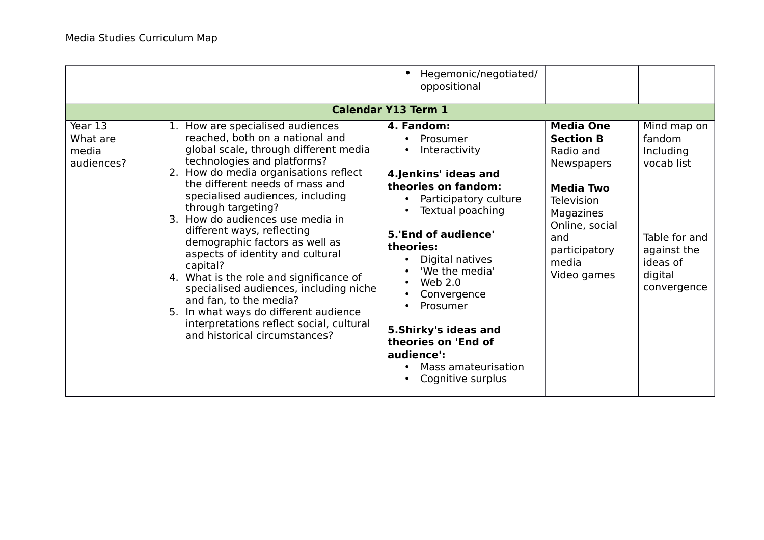|                                            |                                                                                                                                                                                                                                                                                                                                                                                                                                                                                                                                                                                                                                                                            | Hegemonic/negotiated/<br>$\bullet$<br>oppositional                                                                                                                                                                                                                                                                                                                  |                                                                                                                                                                                         |                                                                                                                        |
|--------------------------------------------|----------------------------------------------------------------------------------------------------------------------------------------------------------------------------------------------------------------------------------------------------------------------------------------------------------------------------------------------------------------------------------------------------------------------------------------------------------------------------------------------------------------------------------------------------------------------------------------------------------------------------------------------------------------------------|---------------------------------------------------------------------------------------------------------------------------------------------------------------------------------------------------------------------------------------------------------------------------------------------------------------------------------------------------------------------|-----------------------------------------------------------------------------------------------------------------------------------------------------------------------------------------|------------------------------------------------------------------------------------------------------------------------|
| <b>Calendar Y13 Term 1</b>                 |                                                                                                                                                                                                                                                                                                                                                                                                                                                                                                                                                                                                                                                                            |                                                                                                                                                                                                                                                                                                                                                                     |                                                                                                                                                                                         |                                                                                                                        |
| Year 13<br>What are<br>media<br>audiences? | 1. How are specialised audiences<br>reached, both on a national and<br>global scale, through different media<br>technologies and platforms?<br>2. How do media organisations reflect<br>the different needs of mass and<br>specialised audiences, including<br>through targeting?<br>3. How do audiences use media in<br>different ways, reflecting<br>demographic factors as well as<br>aspects of identity and cultural<br>capital?<br>4. What is the role and significance of<br>specialised audiences, including niche<br>and fan, to the media?<br>5. In what ways do different audience<br>interpretations reflect social, cultural<br>and historical circumstances? | 4. Fandom:<br>Prosumer<br>Interactivity<br>4.Jenkins' ideas and<br>theories on fandom:<br>Participatory culture<br>Textual poaching<br>5.'End of audience'<br>theories:<br>Digital natives<br>'We the media'<br>Web $2.0$<br>Convergence<br>Prosumer<br>٠<br>5. Shirky's ideas and<br>theories on 'End of<br>audience':<br>Mass amateurisation<br>Cognitive surplus | <b>Media One</b><br><b>Section B</b><br>Radio and<br><b>Newspapers</b><br><b>Media Two</b><br>Television<br>Magazines<br>Online, social<br>and<br>participatory<br>media<br>Video games | Mind map on<br>fandom<br>Including<br>vocab list<br>Table for and<br>against the<br>ideas of<br>digital<br>convergence |